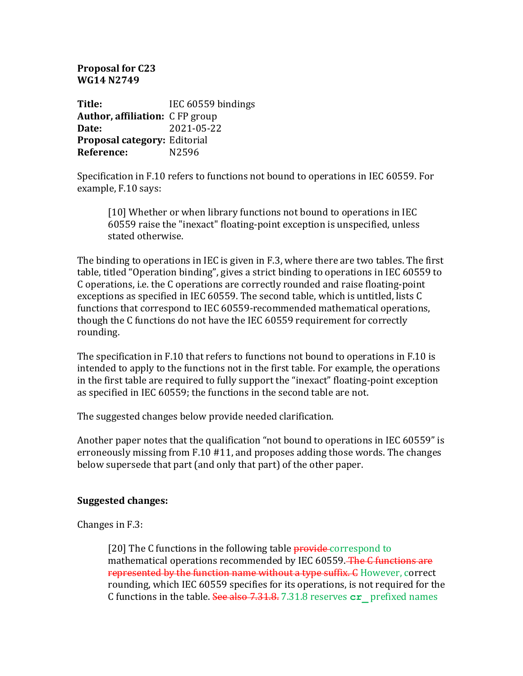**Proposal for C23 WG14 N2749**

**Title:** IEC 60559 bindings **Author, affiliation:** C FP group **Date:** 2021-05-22 **Proposal category: Editorial Reference:** N2596

Specification in F.10 refers to functions not bound to operations in IEC 60559. For example, F.10 says:

[10] Whether or when library functions not bound to operations in IEC 60559 raise the "inexact" floating-point exception is unspecified, unless stated otherwise.

The binding to operations in IEC is given in F.3, where there are two tables. The first table, titled "Operation binding", gives a strict binding to operations in IEC 60559 to C operations, i.e. the C operations are correctly rounded and raise floating-point exceptions as specified in IEC 60559. The second table, which is untitled, lists C functions that correspond to IEC 60559-recommended mathematical operations, though the C functions do not have the IEC 60559 requirement for correctly rounding. 

The specification in F.10 that refers to functions not bound to operations in F.10 is intended to apply to the functions not in the first table. For example, the operations in the first table are required to fully support the "inexact" floating-point exception as specified in IEC 60559; the functions in the second table are not.

The suggested changes below provide needed clarification.

Another paper notes that the qualification "not bound to operations in IEC 60559" is erroneously missing from  $F.10 \#11$ , and proposes adding those words. The changes below supersede that part (and only that part) of the other paper.

## **Suggested changes:**

Changes in  $F.3$ :

[20] The C functions in the following table **provide** correspond to mathematical operations recommended by IEC 60559. The C functions are represented by the function name without a type suffix. C However, correct rounding, which IEC 60559 specifies for its operations, is not required for the C functions in the table. See also 7.31.8. 7.31.8 reserves  $cr$  prefixed names